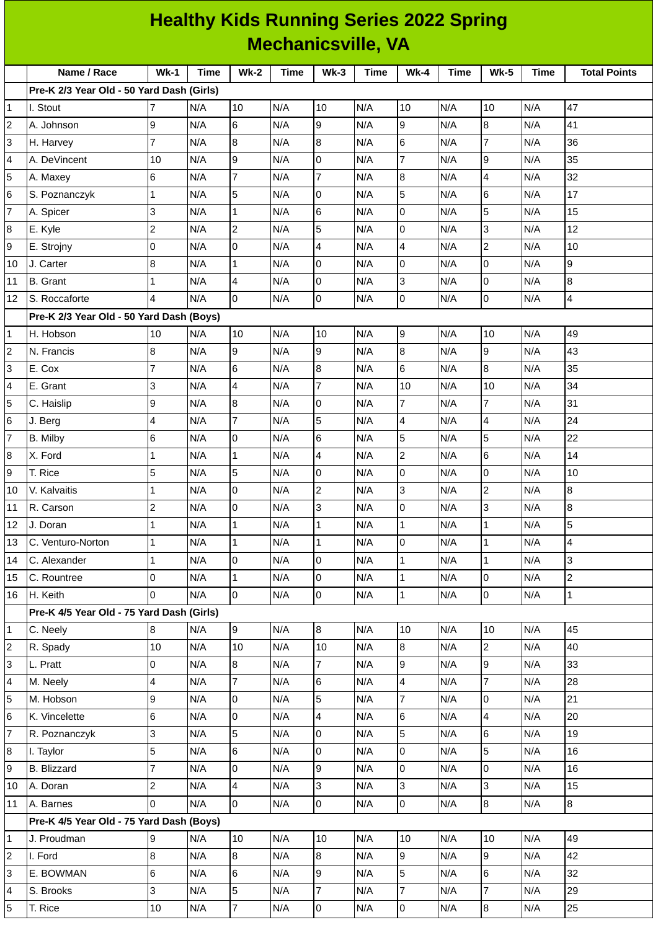|                           | <b>Healthy Kids Running Series 2022 Spring</b> |                |      |                         |             |                         |             |                          |             |                |      |                     |
|---------------------------|------------------------------------------------|----------------|------|-------------------------|-------------|-------------------------|-------------|--------------------------|-------------|----------------|------|---------------------|
| <b>Mechanicsville, VA</b> |                                                |                |      |                         |             |                         |             |                          |             |                |      |                     |
|                           | Name / Race                                    | $Wk-1$         | Time | <b>Wk-2</b>             | <b>Time</b> | $Wk-3$                  | <b>Time</b> | <b>Wk-4</b>              | <b>Time</b> | <b>Wk-5</b>    | Time | <b>Total Points</b> |
|                           | Pre-K 2/3 Year Old - 50 Yard Dash (Girls)      |                |      |                         |             |                         |             |                          |             |                |      |                     |
| 1                         | I. Stout                                       | 7              | N/A  | 10                      | N/A         | 10                      | N/A         | 10                       | N/A         | 10             | N/A  | 47                  |
| 2                         | A. Johnson                                     | 9              | N/A  | $\,6$                   | N/A         | 9                       | N/A         | 9                        | N/A         | 8              | N/A  | 41                  |
| 3                         | H. Harvey                                      | 7              | N/A  | $\overline{8}$          | N/A         | 8                       | N/A         | 6                        | N/A         | $\overline{7}$ | N/A  | 36                  |
| 4                         | A. DeVincent                                   | 10             | N/A  | 9                       | N/A         | 0                       | N/A         | $\overline{7}$           | N/A         | 9              | N/A  | 35                  |
| 5                         | A. Maxey                                       | 6              | N/A  | $\overline{7}$          | N/A         | $\overline{7}$          | N/A         | 8                        | N/A         | 4              | N/A  | 32                  |
| 6                         | S. Poznanczyk                                  | 1              | N/A  | 5                       | N/A         | 0                       | N/A         | 5                        | N/A         | 6              | N/A  | 17                  |
| 7                         | A. Spicer                                      | 3              | N/A  | $\mathbf{1}$            | N/A         | 6                       | N/A         | 0                        | N/A         | 5              | N/A  | 15                  |
| 8                         | E. Kyle                                        | $\overline{c}$ | N/A  | $\overline{c}$          | N/A         | 5                       | N/A         | 0                        | N/A         | 3              | N/A  | 12                  |
| 9                         | E. Strojny                                     | $\Omega$       | N/A  | l0                      | N/A         | 4                       | N/A         | 4                        | N/A         | $\overline{c}$ | N/A  | 10                  |
| 10                        | J. Carter                                      | 8              | N/A  | $\mathbf{1}$            | N/A         | 0                       | N/A         | 0                        | N/A         | 0              | N/A  | 9                   |
| 11                        | <b>B.</b> Grant                                | $\mathbf{1}$   | N/A  | $\overline{4}$          | N/A         | 0                       | N/A         | 3                        | N/A         | 0              | N/A  | 8                   |
| 12                        | S. Roccaforte                                  | 4              | N/A  | l0                      | N/A         | 0                       | N/A         | 0                        | N/A         | 0              | N/A  | $\overline{4}$      |
|                           | Pre-K 2/3 Year Old - 50 Yard Dash (Boys)       |                |      |                         |             |                         |             |                          |             |                |      |                     |
| 1                         | H. Hobson                                      | 10             | N/A  | 10                      | N/A         | 10                      | N/A         | 9                        | N/A         | 10             | N/A  | 49                  |
| 2                         | N. Francis                                     | 8              | N/A  | 9                       | N/A         | 9                       | N/A         | 8                        | N/A         | 9              | N/A  | 43                  |
| 3                         | E. Cox                                         | $\overline{7}$ | N/A  | $6\phantom{a}$          | N/A         | 8                       | N/A         | 6                        | N/A         | 8              | N/A  | 35                  |
| 4                         | E. Grant                                       | 3              | N/A  | $\overline{4}$          | N/A         | $\overline{7}$          | N/A         | 10                       | N/A         | 10             | N/A  | 34                  |
| 5                         | C. Haislip                                     | 9              | N/A  | 8                       | N/A         | 0                       | N/A         | $\overline{7}$           | N/A         | $\overline{7}$ | N/A  | 31                  |
| 6                         | J. Berg                                        | 4              | N/A  | $\overline{7}$          | N/A         | 5                       | N/A         | 4                        | N/A         | 4              | N/A  | 24                  |
| 7                         | B. Milby                                       | 6              | N/A  | 0                       | N/A         | 6                       | N/A         | 5                        | N/A         | 5              | N/A  | 22                  |
| 8                         | X. Ford                                        | 1              | N/A  | $\overline{1}$          | N/A         | $\overline{\mathbf{4}}$ | N/A         | $\mathbf{2}$             | N/A         | 6              | N/A  | 14                  |
| 9                         | T. Rice                                        | 5              | N/A  | 5                       | N/A         | 0                       | N/A         | 0                        | N/A         | 0              | N/A  | 10                  |
| 10                        | V. Kalvaitis                                   | 1              | N/A  | $\mathsf 0$             | N/A         | $\mathbf 2$             | N/A         | 3                        | N/A         | $\overline{c}$ | N/A  | $\bf{8}$            |
| 11                        | R. Carson                                      | $\mathbf 2$    | N/A  | 0                       | N/A         | 3                       | N/A         | $\overline{0}$           | N/A         | 3              | N/A  | 8                   |
| 12                        | J. Doran                                       | 1              | N/A  | $\mathbf{1}$            | N/A         | $\mathbf{1}$            | N/A         | $\mathbf{1}$             | N/A         | $\mathbf 1$    | N/A  | 5                   |
| 13                        | C. Venturo-Norton                              | 1              | N/A  | $\mathbf{1}$            | N/A         | $\mathbf 1$             | N/A         | 0                        | N/A         | 1              | N/A  | 4                   |
| 14                        | C. Alexander                                   | 1              | N/A  | $\mathsf 0$             | N/A         | 0                       | N/A         | $\mathbf 1$              | N/A         | $\mathbf{1}$   | N/A  | 3                   |
| 15                        | C. Rountree                                    | 0              | N/A  | $\mathbf{1}$            | N/A         | $\overline{0}$          | N/A         | $\mathbf 1$              | N/A         | 0              | N/A  | $\overline{c}$      |
| 16                        | H. Keith                                       | $\Omega$       | N/A  | 0                       | N/A         | $\overline{0}$          | N/A         | $\mathbf{1}$             | N/A         | 0              | N/A  | $\overline{1}$      |
|                           | Pre-K 4/5 Year Old - 75 Yard Dash (Girls)      |                |      |                         |             |                         |             |                          |             |                |      |                     |
| 1                         | C. Neely                                       | 8              | N/A  | 9                       | N/A         | $\boldsymbol{8}$        | N/A         | $10\,$                   | N/A         | 10             | N/A  | 45                  |
| 2                         | R. Spady                                       | 10             | N/A  | 10                      | N/A         | 10                      | N/A         | $\bf{8}$                 | N/A         | $\overline{c}$ | N/A  | 40                  |
| 3                         | L. Pratt                                       | 0              | N/A  | 8                       | N/A         | $\overline{7}$          | N/A         | 9                        | N/A         | 9              | N/A  | 33                  |
| 4                         | M. Neely                                       | 4              | N/A  | $\overline{7}$          | N/A         | 6                       | N/A         | 4                        | N/A         | $\overline{7}$ | N/A  | 28                  |
| 5                         | M. Hobson                                      | 9              | N/A  | l0                      | N/A         | 5                       | N/A         | $\overline{7}$           | N/A         | 0              | N/A  | 21                  |
| 6                         | K. Vincelette                                  | 6              | N/A  | $\pmb{0}$               | N/A         | $\overline{\mathbf{4}}$ | N/A         | 6                        | N/A         | 4              | N/A  | 20                  |
| 7                         | R. Poznanczyk                                  | 3              | N/A  | 5                       | N/A         | 0                       | N/A         | 5                        | N/A         | 6              | N/A  | 19                  |
| 8                         | I. Taylor                                      | 5              | N/A  | $6\phantom{.}$          | N/A         | 0                       | N/A         | 0                        | N/A         | 5              | N/A  | 16                  |
| 9                         | <b>B.</b> Blizzard                             | 7              | N/A  | $\mathsf 0$             | N/A         | 9                       | N/A         | 0                        | N/A         | 0              | N/A  | 16                  |
| 10                        | A. Doran                                       | $\overline{c}$ | N/A  | $\overline{\mathbf{4}}$ | N/A         | 3                       | N/A         | 3                        | N/A         | 3              | N/A  | 15                  |
| 11                        | A. Barnes                                      | $\Omega$       | N/A  | lo                      | N/A         | 0                       | N/A         | 0                        | N/A         | 8              | N/A  | $\overline{8}$      |
|                           | Pre-K 4/5 Year Old - 75 Yard Dash (Boys)       |                |      |                         |             |                         |             |                          |             |                |      |                     |
| 1                         | J. Proudman                                    | 9              | N/A  | 10                      | N/A         | 10                      | N/A         | $10\,$                   | N/A         | 10             | N/A  | 49                  |
| 2                         | I. Ford                                        | 8              | N/A  | 8                       | N/A         | 8                       | N/A         | 9                        | N/A         | 9              | N/A  | 42                  |
| 3                         | E. BOWMAN                                      | 6              | N/A  | $6\phantom{a}$          | N/A         | 9                       | N/A         | 5                        | N/A         | 6              | N/A  | 32                  |
| 4                         | S. Brooks                                      | 3              | N/A  | 5                       | N/A         | $\overline{7}$          | N/A         | $\overline{\mathcal{I}}$ | N/A         | $\overline{7}$ | N/A  | 29                  |
| 5                         | T. Rice                                        | 10             | N/A  | $\overline{7}$          | N/A         | $\overline{0}$          | N/A         | $\mathsf{O}\xspace$      | N/A         | 8              | N/A  | 25                  |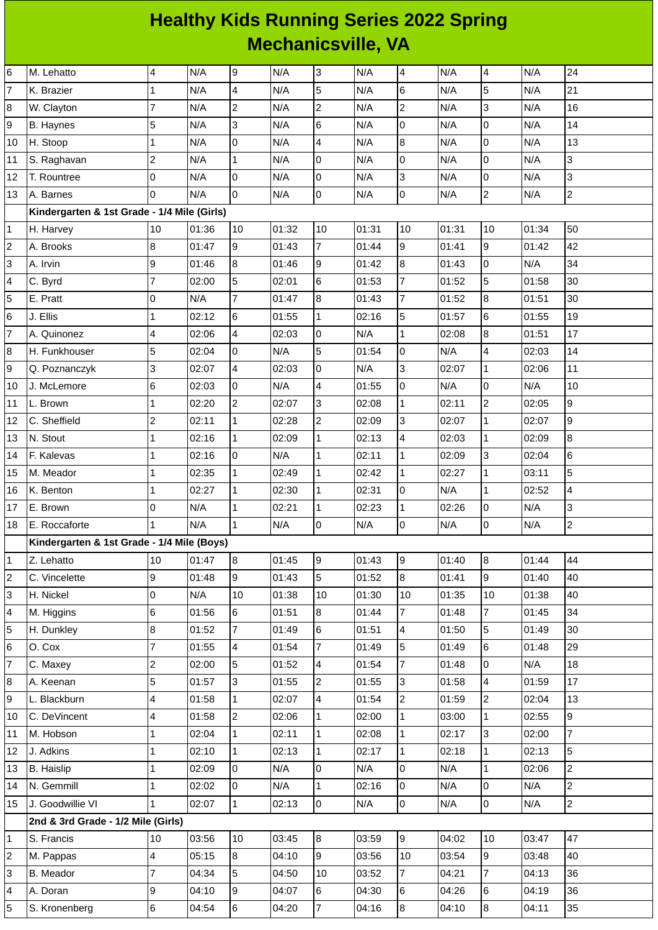## **Healthy Kids Running Series 2022 Spring Mechanicsville, VA**

| 6                       | M. Lehatto                                  | 4              | N/A   | 9                       | N/A   | 3              | N/A   | 4                        | N/A   | 4                       | N/A   | 24              |
|-------------------------|---------------------------------------------|----------------|-------|-------------------------|-------|----------------|-------|--------------------------|-------|-------------------------|-------|-----------------|
| $\overline{7}$          | K. Brazier                                  | $\mathbf 1$    | N/A   | $\overline{\mathbf{4}}$ | N/A   | 5              | N/A   | 6                        | N/A   | 5                       | N/A   | 21              |
| 8                       | W. Clayton                                  | $\overline{7}$ | N/A   | $\overline{c}$          | N/A   | $\overline{c}$ | N/A   | $\mathbf{2}$             | N/A   | 3                       | N/A   | 16              |
| 9                       | <b>B.</b> Haynes                            | 5              | N/A   | 3                       | N/A   | 6              | N/A   | $\overline{0}$           | N/A   | $\overline{0}$          | N/A   | 14              |
| 10                      | H. Stoop                                    | $\mathbf 1$    | N/A   | 0                       | N/A   | 4              | N/A   | $\bf{8}$                 | N/A   | $\mathsf 0$             | N/A   | 13              |
| 11                      | S. Raghavan                                 | $\overline{c}$ | N/A   | $\mathbf{1}$            | N/A   | 0              | N/A   | 0                        | N/A   | $\mathsf{O}\xspace$     | N/A   | 3               |
| 12                      | T. Rountree                                 | 0              | N/A   | 0                       | N/A   | 0              | N/A   | 3                        | N/A   | $\mathbf 0$             | N/A   | 3               |
| 13                      | A. Barnes                                   | 0              | N/A   | 0                       | N/A   | 0              | N/A   | 0                        | N/A   | $\overline{c}$          | N/A   | $\overline{2}$  |
|                         | Kindergarten & 1st Grade - 1/4 Mile (Girls) |                |       |                         |       |                |       |                          |       |                         |       |                 |
| $\mathbf{1}$            | H. Harvey                                   | 10             | 01:36 | 10                      | 01:32 | 10             | 01:31 | 10                       | 01:31 | 10                      | 01:34 | 50              |
| $\overline{c}$          | A. Brooks                                   | 8              | 01:47 | 9                       | 01:43 | $\overline{7}$ | 01:44 | 9                        | 01:41 | 9                       | 01:42 | 42              |
| 3                       | A. Irvin                                    | 9              | 01:46 | 8                       | 01:46 | 9              | 01:42 | $\bf{8}$                 | 01:43 | $\overline{0}$          | N/A   | 34              |
| 4                       | C. Byrd                                     | $\overline{7}$ | 02:00 | 5                       | 02:01 | 6              | 01:53 | $\overline{7}$           | 01:52 | 5                       | 01:58 | 30              |
| 5                       | E. Pratt                                    | 0              | N/A   | $\overline{7}$          | 01:47 | 8              | 01:43 | $\overline{7}$           | 01:52 | 8                       | 01:51 | 30              |
| 6                       | J. Ellis                                    | $\mathbf{1}$   | 02:12 | 6                       | 01:55 | $\mathbf{1}$   | 02:16 | 5                        | 01:57 | $\,6$                   | 01:55 | 19              |
| $\overline{7}$          | A. Quinonez                                 | 4              | 02:06 | 4                       | 02:03 | 0              | N/A   | $\mathbf{1}$             | 02:08 | $\, 8$                  | 01:51 | 17              |
| 8                       | H. Funkhouser                               | 5              | 02:04 | $\overline{0}$          | N/A   | 5              | 01:54 | $\mathsf 0$              | N/A   | $\overline{\mathbf{4}}$ | 02:03 | 14              |
| 9                       | Q. Poznanczyk                               | 3              | 02:07 | $\overline{\mathbf{4}}$ | 02:03 | 0              | N/A   | 3                        | 02:07 | $\mathbf 1$             | 02:06 | 11              |
| 10                      | J. McLemore                                 | $6\phantom{a}$ | 02:03 | $\overline{0}$          | N/A   | 4              | 01:55 | 0                        | N/A   | $\mathsf 0$             | N/A   | 10              |
| 11                      | L. Brown                                    | $\mathbf 1$    | 02:20 | $\overline{c}$          | 02:07 | 3              | 02:08 | $\mathbf 1$              | 02:11 | $\overline{c}$          | 02:05 | $\mathsf g$     |
| 12                      | C. Sheffield                                | $\overline{c}$ | 02:11 | $\mathbf{1}$            | 02:28 | $\overline{c}$ | 02:09 | 3                        | 02:07 | $\mathbf{1}$            | 02:07 | 9               |
| 13                      | N. Stout                                    | $\mathbf 1$    | 02:16 | $\mathbf{1}$            | 02:09 | $\mathbf{1}$   | 02:13 | 4                        | 02:03 | $\mathbf{1}$            | 02:09 | 8               |
| 14                      | F. Kalevas                                  | $\mathbf{1}$   | 02:16 | 0                       | N/A   | $\mathbf{1}$   | 02:11 | $\mathbf{1}$             | 02:09 | 3                       | 02:04 | $6\phantom{.}6$ |
| 15                      | M. Meador                                   | $\mathbf 1$    | 02:35 | $\mathbf 1$             | 02:49 | $\mathbf 1$    | 02:42 | $\mathbf{1}$             | 02:27 | $\mathbf 1$             | 03:11 | 5               |
| 16                      | K. Benton                                   | $\mathbf{1}$   | 02:27 | $\mathbf{1}$            | 02:30 | $\mathbf{1}$   | 02:31 | $\boldsymbol{0}$         | N/A   | $\mathbf{1}$            | 02:52 | 4               |
| 17                      | E. Brown                                    | 0              | N/A   | $\mathbf 1$             | 02:21 | $\mathbf{1}$   | 02:23 | $\mathbf 1$              | 02:26 | 0                       | N/A   | 3               |
| 18                      | E. Roccaforte                               | $\mathbf{1}$   | N/A   | $\mathbf{1}$            | N/A   | 0              | N/A   | 0                        | N/A   | $\mathsf 0$             | N/A   | $\mathbf{2}$    |
|                         | Kindergarten & 1st Grade - 1/4 Mile (Boys)  |                |       |                         |       |                |       |                          |       |                         |       |                 |
| $\mathbf{1}$            | Z. Lehatto                                  | 10             | 01:47 | 8                       | 01:45 | 9              | 01:43 | 9                        | 01:40 | 8                       | 01:44 | 44              |
| $\overline{\mathbf{c}}$ | C. Vincelette                               | 9              | 01:48 | 9                       | 01:43 | 5              | 01:52 | 8                        | 01:41 | 9                       | 01:40 | 40              |
| 3                       | H. Nickel                                   | 0              | N/A   | 10                      | 01:38 | 10             | 01:30 | 10                       | 01:35 | 10                      | 01:38 | 40              |
| 4                       | M. Higgins                                  | 6              | 01:56 | 6                       | 01:51 | 8              | 01:44 | 7                        | 01:48 | $\overline{7}$          | 01:45 | 34              |
| 5                       | H. Dunkley                                  | 8              | 01:52 | $\overline{7}$          | 01:49 | 6              | 01:51 | $\overline{\mathcal{A}}$ | 01:50 | 5                       | 01:49 | 30              |
| 6                       | O. Cox                                      | $\overline{7}$ | 01:55 | 4                       | 01:54 | $\overline{7}$ | 01:49 | 5                        | 01:49 | $6\phantom{.}6$         | 01:48 | 29              |
| $\overline{7}$          | C. Maxey                                    | $\overline{c}$ | 02:00 | 5                       | 01:52 | 4              | 01:54 | 7                        | 01:48 | $\mathsf 0$             | N/A   | 18              |
| 8                       | A. Keenan                                   | 5              | 01:57 | 3                       | 01:55 | $\overline{c}$ | 01:55 | 3                        | 01:58 | $\pmb{4}$               | 01:59 | 17              |
| 9                       | L. Blackburn                                | 4              | 01:58 | $\mathbf 1$             | 02:07 | 4              | 01:54 | $\overline{c}$           | 01:59 | $\overline{2}$          | 02:04 | 13              |
| 10                      | C. DeVincent                                | 4              | 01:58 | $\overline{c}$          | 02:06 | $\mathbf{1}$   | 02:00 | $\mathbf{1}$             | 03:00 | $\mathbf 1$             | 02:55 | $\overline{9}$  |
| 11                      | M. Hobson                                   | $\mathbf{1}$   | 02:04 | $\mathbf{1}$            | 02:11 | $\mathbf 1$    | 02:08 | $\mathbf{1}$             | 02:17 | $\overline{3}$          | 02:00 | $\overline{7}$  |
| 12                      | J. Adkins                                   | 1              | 02:10 | $\mathbf 1$             | 02:13 | $\mathbf{1}$   | 02:17 | $\mathbf{1}$             | 02:18 | 1                       | 02:13 | 5               |
| 13                      | <b>B.</b> Haislip                           | $\mathbf{1}$   | 02:09 | 0                       | N/A   | 0              | N/A   | 0                        | N/A   | $\mathbf{1}$            | 02:06 | $\overline{c}$  |
| 14                      | N. Gemmill                                  | $\mathbf{1}$   | 02:02 | $\overline{0}$          | N/A   | $\mathbf{1}$   | 02:16 | 0                        | N/A   | $\overline{0}$          | N/A   | $\overline{c}$  |
| 15                      | J. Goodwillie VI                            | $\mathbf{1}$   | 02:07 | $\mathbf 1$             | 02:13 | 0              | N/A   | 0                        | N/A   | 0                       | N/A   | $\overline{2}$  |
|                         | 2nd & 3rd Grade - 1/2 Mile (Girls)          |                |       |                         |       |                |       |                          |       |                         |       |                 |
| 1                       | S. Francis                                  | 10             | 03:56 | 10                      | 03:45 | 8              | 03:59 | 9                        | 04:02 | 10                      | 03:47 | 47              |
| 2                       | M. Pappas                                   | 4              | 05:15 | 8                       | 04:10 | 9              | 03:56 | 10                       | 03:54 | 9                       | 03:48 | 40              |
| 3                       | <b>B.</b> Meador                            | $\overline{7}$ | 04:34 | 5                       | 04:50 | 10             | 03:52 | $\overline{7}$           | 04:21 | $\overline{7}$          | 04:13 | 36              |
| 4                       | A. Doran                                    | 9              | 04:10 | 9                       | 04:07 | 6              | 04:30 | 6                        | 04:26 | $\,6$                   | 04:19 | 36              |
| 5                       | S. Kronenberg                               | $\bf 6$        | 04:54 | $6\phantom{.}6$         | 04:20 | $\overline{7}$ | 04:16 | $\, 8$                   | 04:10 | $\bf{8}$                | 04:11 | 35              |